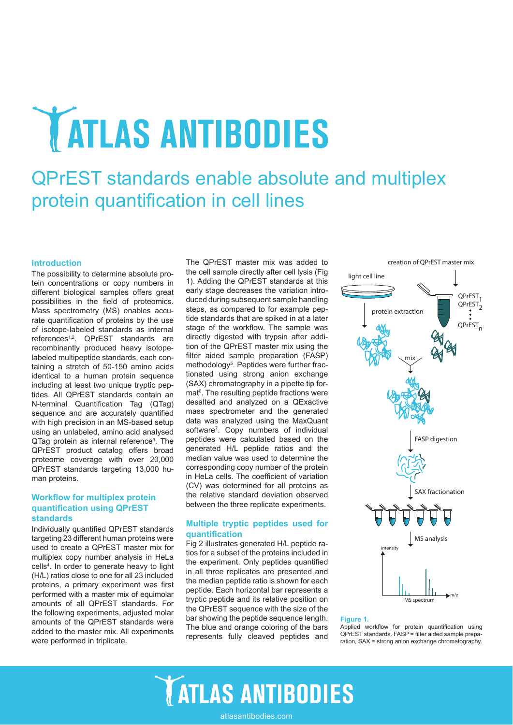# **ATLAS ANTIBODIES**

## QPrEST standards enable absolute and multiplex protein quantification in cell lines

## **Introduction**

The possibility to determine absolute protein concentrations or copy numbers in different biological samples offers great possibilities in the field of proteomics. Mass spectrometry (MS) enables accurate quantifcation of proteins by the use of isotope-labeled standards as internal references<sup>1,2</sup>. QPrEST standards are recombinantly produced heavy isotopelabeled multipeptide standards, each containing a stretch of 50-150 amino acids identical to a human protein sequence including at least two unique tryptic peptides. All QPrEST standards contain an N-terminal Quantification Tag (QTag) sequence and are accurately quantified with high precision in an MS-based setup using an unlabeled, amino acid analysed QTag protein as internal reference<sup>3</sup>. The QPrEST product catalog offers broad proteome coverage with over 20,000 QPrEST standards targeting 13,000 human proteins.

## **Workflow for multiplex protein quantifcation using QPrEST standards**

Individually quantifed QPrEST standards targeting 23 different human proteins were used to create a QPrEST master mix for multiplex copy number analysis in HeLa cells<sup>4</sup>. In order to generate heavy to light (H/L) ratios close to one for all 23 included proteins, a primary experiment was first performed with a master mix of equimolar amounts of all QPrEST standards. For the following experiments, adjusted molar amounts of the QPrEST standards were added to the master mix. All experiments were performed in triplicate.

The QPrEST master mix was added to the cell sample directly after cell lysis (Fig are con cample ancely after configure  $\frac{1}{2}$  is a light cell line QPrEST standards at this early stage decreases the variation introduced during subsequent sample handling steps, as compared to for example peptide standards that are spiked in at a later stage of the workflow. The sample was directly digested with trypsin after addition of the QPrEST master mix using the filter aided sample preparation (FASP) methodology<sup>5</sup>. Peptides were further fractionated using strong anion exchange (SAX) chromatography in a pipette tip format<sup>6</sup>. The resulting peptide fractions were desalted and analyzed on a QExactive mass spectrometer and the generated data was analyzed using the MaxQuant software<sup>7</sup>. Copy numbers of individual peptides were calculated based on the generated H/L peptide ratios and the median value was used to determine the corresponding copy number of the protein in HeLa cells. The coefficient of variation (CV) was determined for all proteins as the relative standard deviation observed between the three replicate experiments.

## **Multiple tryptic peptides used for quantifcation**

Fig 2 illustrates generated H/L peptide ratios for a subset of the proteins included in the experiment. Only peptides quantifed in all three replicates are presented and the median peptide ratio is shown for each peptide. Each horizontal bar represents a tryptic peptide and its relative position on the QPrEST sequence with the size of the bar showing the peptide sequence length. The blue and orange coloring of the bars represents fully cleaved peptides and



## **Figure 1.**

Applied workflow for protein quantification using QPrEST standards. FASP = flter aided sample preparation, SAX = strong anion exchange chromatography.



atlasantibodies.com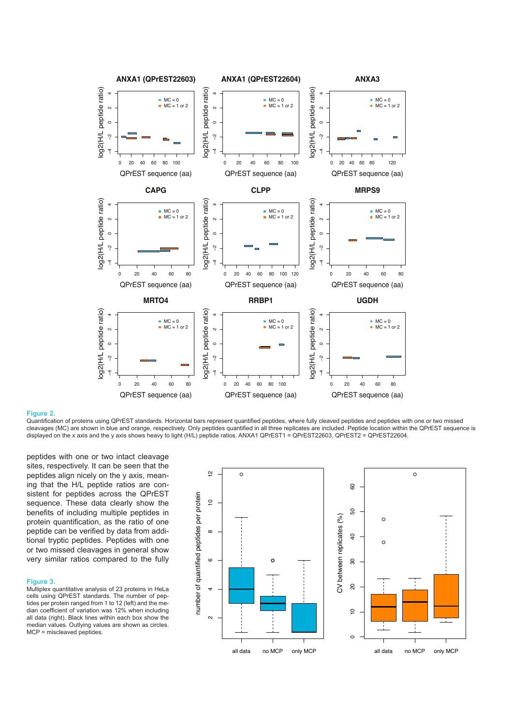

### **Figure 2.**

Quantifcation of proteins using QPrEST standards. Horizontal bars represent quantifed peptides, where fully cleaved peptides and peptides with one or two missed cleavages (MC) are shown in blue and orange, respectively. Only peptides quantifed in all three replicates are included. Peptide location within the QPrEST sequence is displayed on the x axis and the y axis shows heavy to light (H/L) peptide ratios. ANXA1 QPrEST1 = QPrEST22603, QPrEST2 = QPrEST22604.

peptides with one or two intact cleavage sites, respectively. It can be seen that the peptides align nicely on the y axis, meaning that the H/L peptide ratios are consistent for peptides across the QPrEST sequence. These data clearly show the benefts of including multiple peptides in protein quantification, as the ratio of one peptide can be verifed by data from additional tryptic peptides. Peptides with one or two missed cleavages in general show very similar ratios compared to the fully

## **Figure 3.**

Multiplex quantitative analysis of 23 proteins in HeLa cells using QPrEST standards. The number of peptides per protein ranged from 1 to 12 (left) and the median coefficient of variation was 12% when including all data (right). Black lines within each box show the median values. Outlying values are shown as circles. MCP = miscleaved peptides.

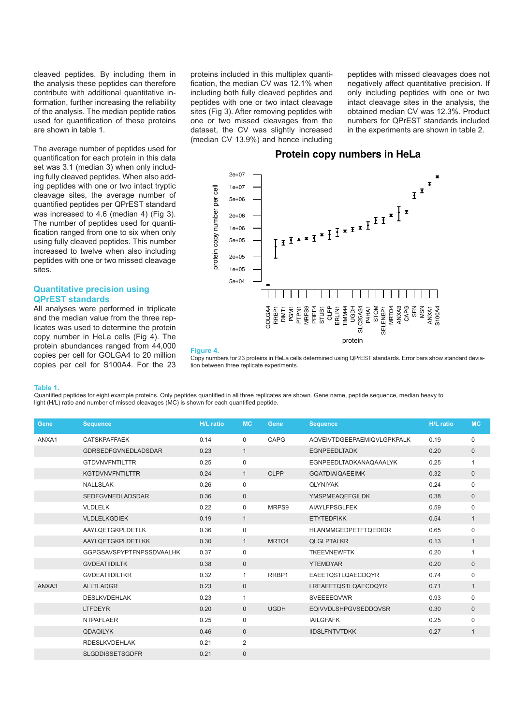cleaved peptides. By including them in the analysis these peptides can therefore contribute with additional quantitative information, further increasing the reliability of the analysis. The median peptide ratios used for quantifcation of these proteins are shown in table 1.

The average number of peptides used for quantifcation for each protein in this data set was 3.1 (median 3) when only including fully cleaved peptides. When also adding peptides with one or two intact tryptic cleavage sites, the average number of quantifed peptides per QPrEST standard was increased to 4.6 (median 4) (Fig 3). The number of peptides used for quantification ranged from one to six when only using fully cleaved peptides. This number increased to twelve when also including peptides with one or two missed cleavage sites.

## **Quantitative precision using QPrEST standards**

All analyses were performed in triplicate and the median value from the three replicates was used to determine the protein copy number in HeLa cells (Fig 4). The protein abundances ranged from 44,000 copies per cell for GOLGA4 to 20 million copies per cell for S100A4. For the 23

proteins included in this multiplex quantification, the median CV was 12.1% when including both fully cleaved peptides and peptides with one or two intact cleavage sites (Fig 3). After removing peptides with one or two missed cleavages from the dataset, the CV was slightly increased (median CV 13.9%) and hence including peptides with missed cleavages does not negatively affect quantitative precision. If only including peptides with one or two intact cleavage sites in the analysis, the obtained median CV was 12.3%. Product numbers for QPrEST standards included in the experiments are shown in table 2.

## **Protein copy numbers in HeLa Protein copy numbers in HeLa**



#### **Figure 4.**

Copy numbers for 23 proteins in HeLa cells determined using QPrEST standards. Error bars show standard deviation between three replicate experiments.

#### **Table 1.**

Quantifed peptides for eight example proteins. Only peptides quantifed in all three replicates are shown. Gene name, peptide sequence, median heavy to light (H/L) ratio and number of missed cleavages (MC) is shown for each quantifed peptide.

| Gene  | <b>Sequence</b>                 | <b>H/L</b> ratio | <b>MC</b>    | Gene        | <b>Sequence</b>               | <b>H/L</b> ratio | <b>MC</b>    |
|-------|---------------------------------|------------------|--------------|-------------|-------------------------------|------------------|--------------|
| ANXA1 | <b>CATSKPAFFAEK</b>             | 0.14             | 0            | CAPG        | AQVEIVTDGEEPAEMIQVLGPKPALK    | 0.19             | 0            |
|       | <b>GDRSEDFGVNEDLADSDAR</b>      | 0.23             | $\mathbf{1}$ |             | <b>EGNPEEDLTADK</b>           | 0.20             | $\mathbf 0$  |
|       | <b>GTDVNVFNTILTTR</b>           | 0.25             | 0            |             | <b>EGNPEEDLTADKANAQAAALYK</b> | 0.25             | 1            |
|       | <b>KGTDVNVFNTILTTR</b>          | 0.24             | $\mathbf{1}$ | <b>CLPP</b> | <b>GOATDIAIOAEEIMK</b>        | 0.32             | $\pmb{0}$    |
|       | <b>NALLSLAK</b>                 | 0.26             | $\mathbf 0$  |             | <b>QLYNIYAK</b>               | 0.24             | 0            |
|       | <b>SEDFGVNEDLADSDAR</b>         | 0.36             | $\mathbf{0}$ |             | <b>YMSPMEAQEFGILDK</b>        | 0.38             | $\mathbf 0$  |
|       | <b>VLDLELK</b>                  | 0.22             | $\mathbf 0$  | MRPS9       | AIAYLFPSGLFEK                 | 0.59             | 0            |
|       | <b>VLDLELKGDIEK</b>             | 0.19             | $\mathbf{1}$ |             | <b>ETYTEDFIKK</b>             | 0.54             | $\mathbf{1}$ |
|       | AAYLQETGKPLDETLK                | 0.36             | $\mathbf 0$  |             | <b>HLANMMGEDPETFTQEDIDR</b>   | 0.65             | $\mathbf 0$  |
|       | AAYLQETGKPLDETLKK               | 0.30             | $\mathbf{1}$ | MRTO4       | <b>QLGLPTALKR</b>             | 0.13             | $\mathbf{1}$ |
|       | <b>GGPGSAVSPYPTFNPSSDVAALHK</b> | 0.37             | $\mathbf 0$  |             | <b>TKEEVNEWFTK</b>            | 0.20             | $\mathbf{1}$ |
|       | <b>GVDEATIIDILTK</b>            | 0.38             | $\mathbf{0}$ |             | <b>YTEMDYAR</b>               | 0.20             | $\mathbf 0$  |
|       | <b>GVDEATIIDILTKR</b>           | 0.32             | 1            | RRBP1       | <b>EAEETOSTLOAECDOYR</b>      | 0.74             | $\mathbf 0$  |
| ANXA3 | <b>ALLTLADGR</b>                | 0.23             | $\mathbf{0}$ |             | LREAEETQSTLQAECDQYR           | 0.71             | $\mathbf{1}$ |
|       | <b>DESLKVDEHLAK</b>             | 0.23             | 1            |             | SVEEEEQVWR                    | 0.93             | $\mathbf 0$  |
|       | <b>LTFDEYR</b>                  | 0.20             | $\mathbf{0}$ | <b>UGDH</b> | <b>EQIVVDLSHPGVSEDDQVSR</b>   | 0.30             | $\mathbf 0$  |
|       | <b>NTPAFLAER</b>                | 0.25             | $\mathbf 0$  |             | <b>IAILGFAFK</b>              | 0.25             | 0            |
|       | <b>QDAQILYK</b>                 | 0.46             | $\mathbf{0}$ |             | <b>IIDSLFNTVTDKK</b>          | 0.27             | $\mathbf{1}$ |
|       | <b>RDESLKVDEHLAK</b>            | 0.21             | 2            |             |                               |                  |              |
|       | <b>SLGDDISSETSGDFR</b>          | 0.21             | $\mathbf 0$  |             |                               |                  |              |